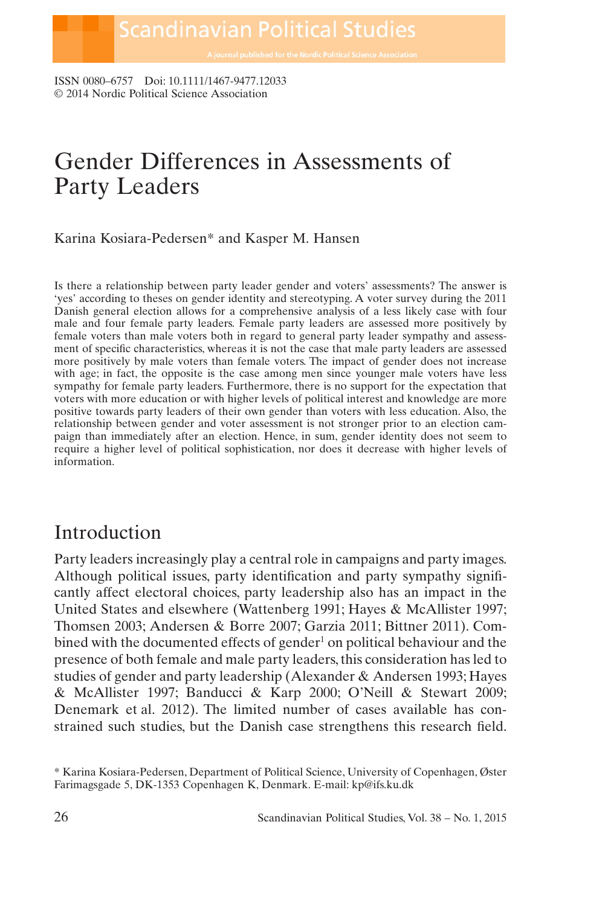ISSN 0080–6757 Doi: 10.1111/1467-9477.12033 © 2014 Nordic Political Science Association

# Gender Differences in Assessments of Party Leaders

Karina Kosiara-Pedersen\* and Kasper M. Hansen

Is there a relationship between party leader gender and voters' assessments? The answer is 'yes' according to theses on gender identity and stereotyping. A voter survey during the 2011 Danish general election allows for a comprehensive analysis of a less likely case with four male and four female party leaders. Female party leaders are assessed more positively by female voters than male voters both in regard to general party leader sympathy and assessment of specific characteristics, whereas it is not the case that male party leaders are assessed more positively by male voters than female voters. The impact of gender does not increase with age; in fact, the opposite is the case among men since younger male voters have less sympathy for female party leaders. Furthermore, there is no support for the expectation that voters with more education or with higher levels of political interest and knowledge are more positive towards party leaders of their own gender than voters with less education. Also, the relationship between gender and voter assessment is not stronger prior to an election campaign than immediately after an election. Hence, in sum, gender identity does not seem to require a higher level of political sophistication, nor does it decrease with higher levels of information.

# Introduction

Party leaders increasingly play a central role in campaigns and party images. Although political issues, party identification and party sympathy significantly affect electoral choices, party leadership also has an impact in the United States and elsewhere (Wattenberg 1991; Hayes & McAllister 1997; Thomsen 2003; Andersen & Borre 2007; Garzia 2011; Bittner 2011). Combined with the documented effects of gender<sup>1</sup> on political behaviour and the presence of both female and male party leaders, this consideration has led to studies of gender and party leadership (Alexander & Andersen 1993; Hayes & McAllister 1997; Banducci & Karp 2000; O'Neill & Stewart 2009; Denemark et al. 2012). The limited number of cases available has constrained such studies, but the Danish case strengthens this research field.

<sup>\*</sup> Karina Kosiara-Pedersen, Department of Political Science, University of Copenhagen, Øster Farimagsgade 5, DK-1353 Copenhagen K, Denmark. E-mail: [kp@ifs.ku.dk](mailto:kp@ifs.ku.dk)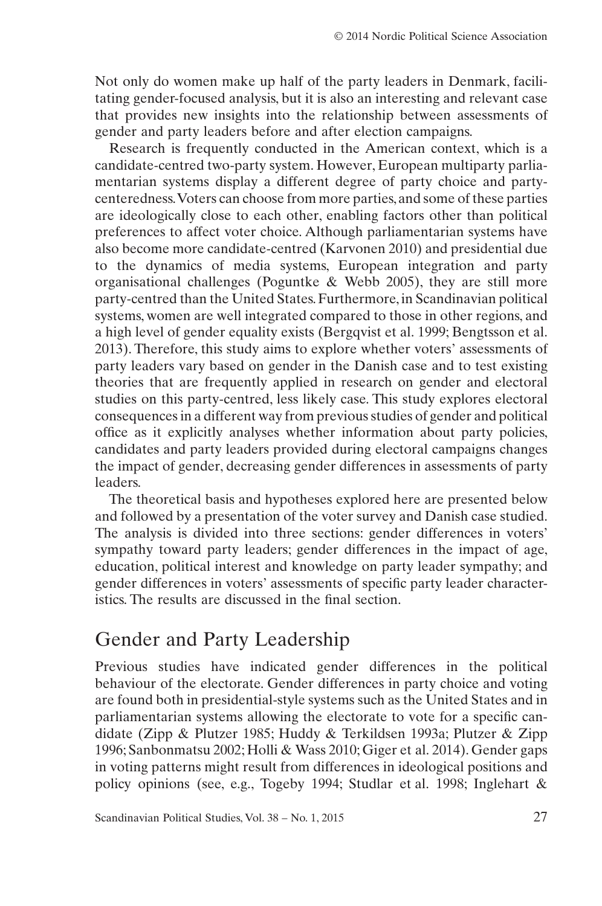Not only do women make up half of the party leaders in Denmark, facilitating gender-focused analysis, but it is also an interesting and relevant case that provides new insights into the relationship between assessments of gender and party leaders before and after election campaigns.

Research is frequently conducted in the American context, which is a candidate-centred two-party system. However, European multiparty parliamentarian systems display a different degree of party choice and partycenteredness.Voters can choose from more parties,and some of these parties are ideologically close to each other, enabling factors other than political preferences to affect voter choice. Although parliamentarian systems have also become more candidate-centred (Karvonen 2010) and presidential due to the dynamics of media systems, European integration and party organisational challenges (Poguntke & Webb 2005), they are still more party-centred than the United States. Furthermore, in Scandinavian political systems, women are well integrated compared to those in other regions, and a high level of gender equality exists (Bergqvist et al. 1999; Bengtsson et al. 2013). Therefore, this study aims to explore whether voters' assessments of party leaders vary based on gender in the Danish case and to test existing theories that are frequently applied in research on gender and electoral studies on this party-centred, less likely case. This study explores electoral consequences in a different way from previous studies of gender and political office as it explicitly analyses whether information about party policies, candidates and party leaders provided during electoral campaigns changes the impact of gender, decreasing gender differences in assessments of party leaders.

The theoretical basis and hypotheses explored here are presented below and followed by a presentation of the voter survey and Danish case studied. The analysis is divided into three sections: gender differences in voters' sympathy toward party leaders; gender differences in the impact of age, education, political interest and knowledge on party leader sympathy; and gender differences in voters' assessments of specific party leader characteristics. The results are discussed in the final section.

# Gender and Party Leadership

Previous studies have indicated gender differences in the political behaviour of the electorate. Gender differences in party choice and voting are found both in presidential-style systems such as the United States and in parliamentarian systems allowing the electorate to vote for a specific candidate (Zipp & Plutzer 1985; Huddy & Terkildsen 1993a; Plutzer & Zipp 1996; Sanbonmatsu 2002; Holli & Wass 2010; Giger et al. 2014). Gender gaps in voting patterns might result from differences in ideological positions and policy opinions (see, e.g., Togeby 1994; Studlar et al. 1998; Inglehart &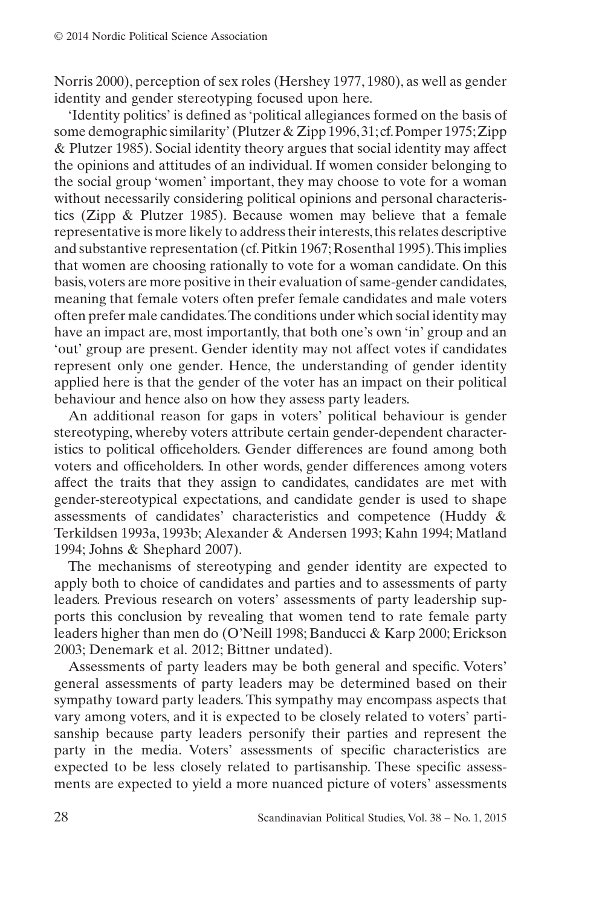Norris 2000), perception of sex roles (Hershey 1977, 1980), as well as gender identity and gender stereotyping focused upon here.

'Identity politics' is defined as 'political allegiances formed on the basis of some demographic similarity' (Plutzer & Zipp 1996, 31; cf. Pomper 1975; Zipp & Plutzer 1985). Social identity theory argues that social identity may affect the opinions and attitudes of an individual. If women consider belonging to the social group 'women' important, they may choose to vote for a woman without necessarily considering political opinions and personal characteristics (Zipp & Plutzer 1985). Because women may believe that a female representative is more likely to address their interests,this relates descriptive and substantive representation (cf.Pitkin 1967;Rosenthal 1995).This implies that women are choosing rationally to vote for a woman candidate. On this basis, voters are more positive in their evaluation of same-gender candidates, meaning that female voters often prefer female candidates and male voters often prefer male candidates.The conditions under which social identity may have an impact are, most importantly, that both one's own 'in' group and an 'out' group are present. Gender identity may not affect votes if candidates represent only one gender. Hence, the understanding of gender identity applied here is that the gender of the voter has an impact on their political behaviour and hence also on how they assess party leaders.

An additional reason for gaps in voters' political behaviour is gender stereotyping, whereby voters attribute certain gender-dependent characteristics to political officeholders. Gender differences are found among both voters and officeholders. In other words, gender differences among voters affect the traits that they assign to candidates, candidates are met with gender-stereotypical expectations, and candidate gender is used to shape assessments of candidates' characteristics and competence (Huddy  $\&$ Terkildsen 1993a, 1993b; Alexander & Andersen 1993; Kahn 1994; Matland 1994; Johns & Shephard 2007).

The mechanisms of stereotyping and gender identity are expected to apply both to choice of candidates and parties and to assessments of party leaders. Previous research on voters' assessments of party leadership supports this conclusion by revealing that women tend to rate female party leaders higher than men do (O'Neill 1998; Banducci & Karp 2000; Erickson 2003; Denemark et al. 2012; Bittner undated).

Assessments of party leaders may be both general and specific. Voters' general assessments of party leaders may be determined based on their sympathy toward party leaders. This sympathy may encompass aspects that vary among voters, and it is expected to be closely related to voters' partisanship because party leaders personify their parties and represent the party in the media. Voters' assessments of specific characteristics are expected to be less closely related to partisanship. These specific assessments are expected to yield a more nuanced picture of voters' assessments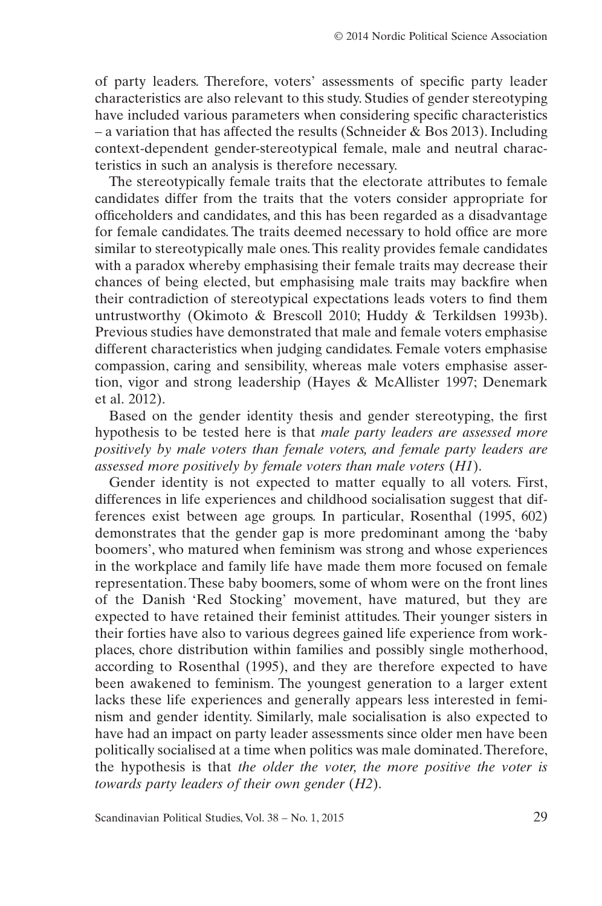of party leaders. Therefore, voters' assessments of specific party leader characteristics are also relevant to this study. Studies of gender stereotyping have included various parameters when considering specific characteristics – a variation that has affected the results (Schneider  $\&$  Bos 2013). Including context-dependent gender-stereotypical female, male and neutral characteristics in such an analysis is therefore necessary.

The stereotypically female traits that the electorate attributes to female candidates differ from the traits that the voters consider appropriate for officeholders and candidates, and this has been regarded as a disadvantage for female candidates. The traits deemed necessary to hold office are more similar to stereotypically male ones. This reality provides female candidates with a paradox whereby emphasising their female traits may decrease their chances of being elected, but emphasising male traits may backfire when their contradiction of stereotypical expectations leads voters to find them untrustworthy (Okimoto & Brescoll 2010; Huddy & Terkildsen 1993b). Previous studies have demonstrated that male and female voters emphasise different characteristics when judging candidates. Female voters emphasise compassion, caring and sensibility, whereas male voters emphasise assertion, vigor and strong leadership (Hayes & McAllister 1997; Denemark et al. 2012).

Based on the gender identity thesis and gender stereotyping, the first hypothesis to be tested here is that *male party leaders are assessed more positively by male voters than female voters, and female party leaders are assessed more positively by female voters than male voters* (*H1*).

Gender identity is not expected to matter equally to all voters. First, differences in life experiences and childhood socialisation suggest that differences exist between age groups. In particular, Rosenthal (1995, 602) demonstrates that the gender gap is more predominant among the 'baby boomers', who matured when feminism was strong and whose experiences in the workplace and family life have made them more focused on female representation. These baby boomers, some of whom were on the front lines of the Danish 'Red Stocking' movement, have matured, but they are expected to have retained their feminist attitudes. Their younger sisters in their forties have also to various degrees gained life experience from workplaces, chore distribution within families and possibly single motherhood, according to Rosenthal (1995), and they are therefore expected to have been awakened to feminism. The youngest generation to a larger extent lacks these life experiences and generally appears less interested in feminism and gender identity. Similarly, male socialisation is also expected to have had an impact on party leader assessments since older men have been politically socialised at a time when politics was male dominated.Therefore, the hypothesis is that *the older the voter, the more positive the voter is towards party leaders of their own gender* (*H2*).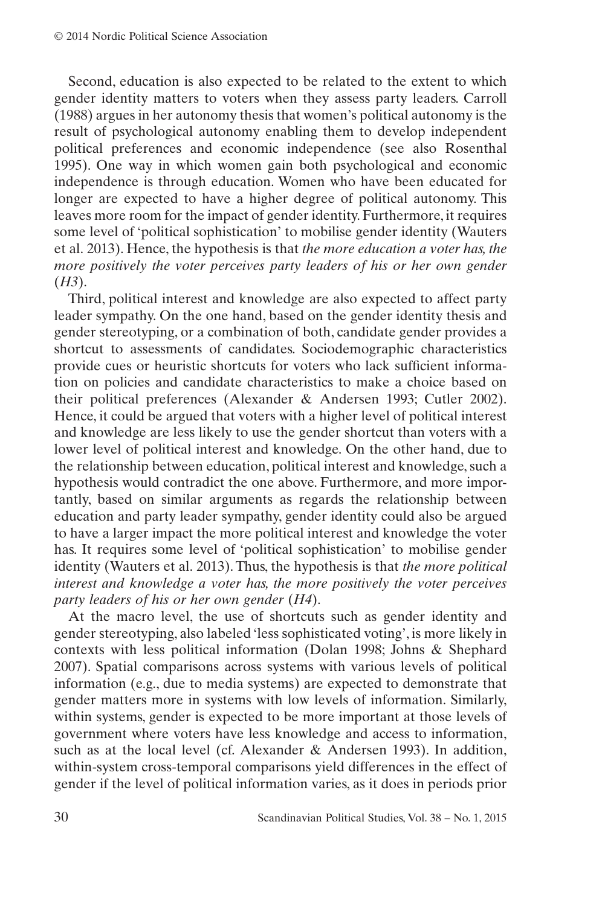Second, education is also expected to be related to the extent to which gender identity matters to voters when they assess party leaders. Carroll (1988) argues in her autonomy thesis that women's political autonomy is the result of psychological autonomy enabling them to develop independent political preferences and economic independence (see also Rosenthal 1995). One way in which women gain both psychological and economic independence is through education. Women who have been educated for longer are expected to have a higher degree of political autonomy. This leaves more room for the impact of gender identity. Furthermore, it requires some level of 'political sophistication' to mobilise gender identity (Wauters et al. 2013). Hence, the hypothesis is that *the more education a voter has, the more positively the voter perceives party leaders of his or her own gender* (*H3*).

Third, political interest and knowledge are also expected to affect party leader sympathy. On the one hand, based on the gender identity thesis and gender stereotyping, or a combination of both, candidate gender provides a shortcut to assessments of candidates. Sociodemographic characteristics provide cues or heuristic shortcuts for voters who lack sufficient information on policies and candidate characteristics to make a choice based on their political preferences (Alexander & Andersen 1993; Cutler 2002). Hence, it could be argued that voters with a higher level of political interest and knowledge are less likely to use the gender shortcut than voters with a lower level of political interest and knowledge. On the other hand, due to the relationship between education, political interest and knowledge, such a hypothesis would contradict the one above. Furthermore, and more importantly, based on similar arguments as regards the relationship between education and party leader sympathy, gender identity could also be argued to have a larger impact the more political interest and knowledge the voter has. It requires some level of 'political sophistication' to mobilise gender identity (Wauters et al. 2013). Thus, the hypothesis is that *the more political interest and knowledge a voter has, the more positively the voter perceives party leaders of his or her own gender* (*H4*).

At the macro level, the use of shortcuts such as gender identity and gender stereotyping, also labeled 'less sophisticated voting', is more likely in contexts with less political information (Dolan 1998; Johns & Shephard 2007). Spatial comparisons across systems with various levels of political information (e.g., due to media systems) are expected to demonstrate that gender matters more in systems with low levels of information. Similarly, within systems, gender is expected to be more important at those levels of government where voters have less knowledge and access to information, such as at the local level (cf. Alexander & Andersen 1993). In addition, within-system cross-temporal comparisons yield differences in the effect of gender if the level of political information varies, as it does in periods prior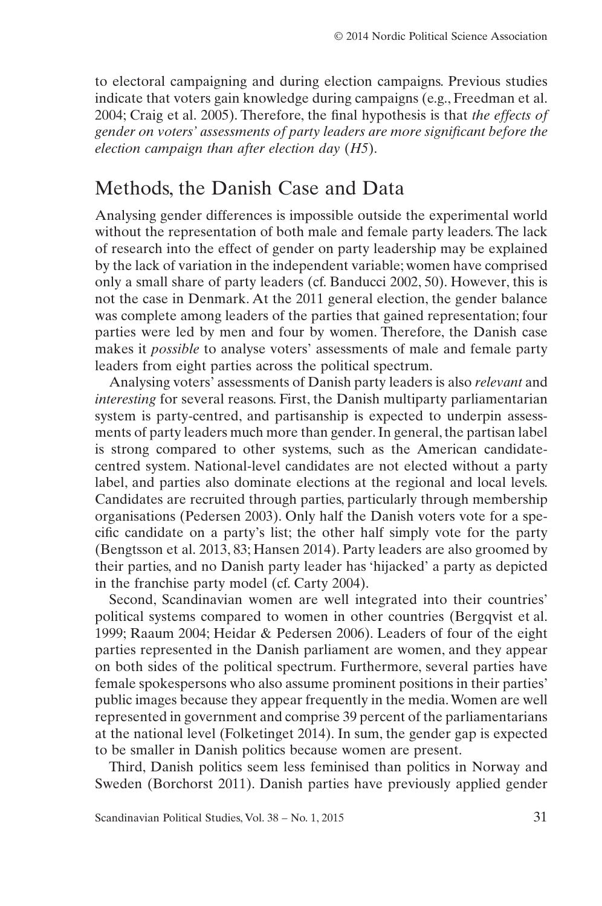to electoral campaigning and during election campaigns. Previous studies indicate that voters gain knowledge during campaigns (e.g., Freedman et al. 2004; Craig et al. 2005). Therefore, the final hypothesis is that *the effects of gender on voters' assessments of party leaders are more significant before the election campaign than after election day* (*H5*).

### Methods, the Danish Case and Data

Analysing gender differences is impossible outside the experimental world without the representation of both male and female party leaders. The lack of research into the effect of gender on party leadership may be explained by the lack of variation in the independent variable; women have comprised only a small share of party leaders (cf. Banducci 2002, 50). However, this is not the case in Denmark. At the 2011 general election, the gender balance was complete among leaders of the parties that gained representation; four parties were led by men and four by women. Therefore, the Danish case makes it *possible* to analyse voters' assessments of male and female party leaders from eight parties across the political spectrum.

Analysing voters' assessments of Danish party leaders is also *relevant* and *interesting* for several reasons. First, the Danish multiparty parliamentarian system is party-centred, and partisanship is expected to underpin assessments of party leaders much more than gender. In general, the partisan label is strong compared to other systems, such as the American candidatecentred system. National-level candidates are not elected without a party label, and parties also dominate elections at the regional and local levels. Candidates are recruited through parties, particularly through membership organisations (Pedersen 2003). Only half the Danish voters vote for a specific candidate on a party's list; the other half simply vote for the party (Bengtsson et al. 2013, 83; Hansen 2014). Party leaders are also groomed by their parties, and no Danish party leader has 'hijacked' a party as depicted in the franchise party model (cf. Carty 2004).

Second, Scandinavian women are well integrated into their countries' political systems compared to women in other countries (Bergqvist et al. 1999; Raaum 2004; Heidar & Pedersen 2006). Leaders of four of the eight parties represented in the Danish parliament are women, and they appear on both sides of the political spectrum. Furthermore, several parties have female spokespersons who also assume prominent positions in their parties' public images because they appear frequently in the media.Women are well represented in government and comprise 39 percent of the parliamentarians at the national level (Folketinget 2014). In sum, the gender gap is expected to be smaller in Danish politics because women are present.

Third, Danish politics seem less feminised than politics in Norway and Sweden (Borchorst 2011). Danish parties have previously applied gender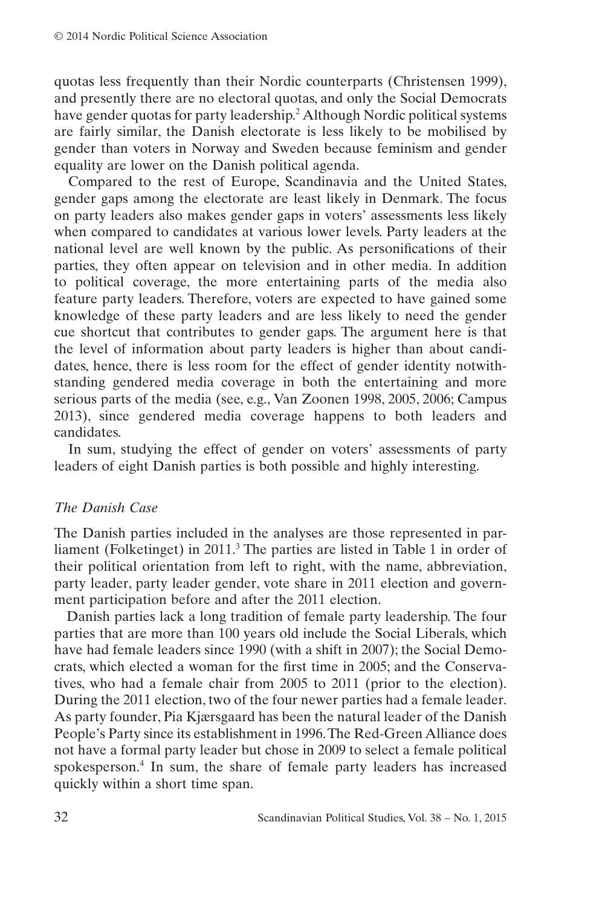quotas less frequently than their Nordic counterparts (Christensen 1999), and presently there are no electoral quotas, and only the Social Democrats have gender quotas for party leadership.2 Although Nordic political systems are fairly similar, the Danish electorate is less likely to be mobilised by gender than voters in Norway and Sweden because feminism and gender equality are lower on the Danish political agenda.

Compared to the rest of Europe, Scandinavia and the United States, gender gaps among the electorate are least likely in Denmark. The focus on party leaders also makes gender gaps in voters' assessments less likely when compared to candidates at various lower levels. Party leaders at the national level are well known by the public. As personifications of their parties, they often appear on television and in other media. In addition to political coverage, the more entertaining parts of the media also feature party leaders. Therefore, voters are expected to have gained some knowledge of these party leaders and are less likely to need the gender cue shortcut that contributes to gender gaps. The argument here is that the level of information about party leaders is higher than about candidates, hence, there is less room for the effect of gender identity notwithstanding gendered media coverage in both the entertaining and more serious parts of the media (see, e.g., Van Zoonen 1998, 2005, 2006; Campus 2013), since gendered media coverage happens to both leaders and candidates.

In sum, studying the effect of gender on voters' assessments of party leaders of eight Danish parties is both possible and highly interesting.

#### *The Danish Case*

The Danish parties included in the analyses are those represented in parliament (Folketinget) in 2011.3 The parties are listed in Table 1 in order of their political orientation from left to right, with the name, abbreviation, party leader, party leader gender, vote share in 2011 election and government participation before and after the 2011 election.

Danish parties lack a long tradition of female party leadership. The four parties that are more than 100 years old include the Social Liberals, which have had female leaders since 1990 (with a shift in 2007); the Social Democrats, which elected a woman for the first time in 2005; and the Conservatives, who had a female chair from 2005 to 2011 (prior to the election). During the 2011 election, two of the four newer parties had a female leader. As party founder, Pia Kjærsgaard has been the natural leader of the Danish People's Party since its establishment in 1996.The Red-Green Alliance does not have a formal party leader but chose in 2009 to select a female political spokesperson.4 In sum, the share of female party leaders has increased quickly within a short time span.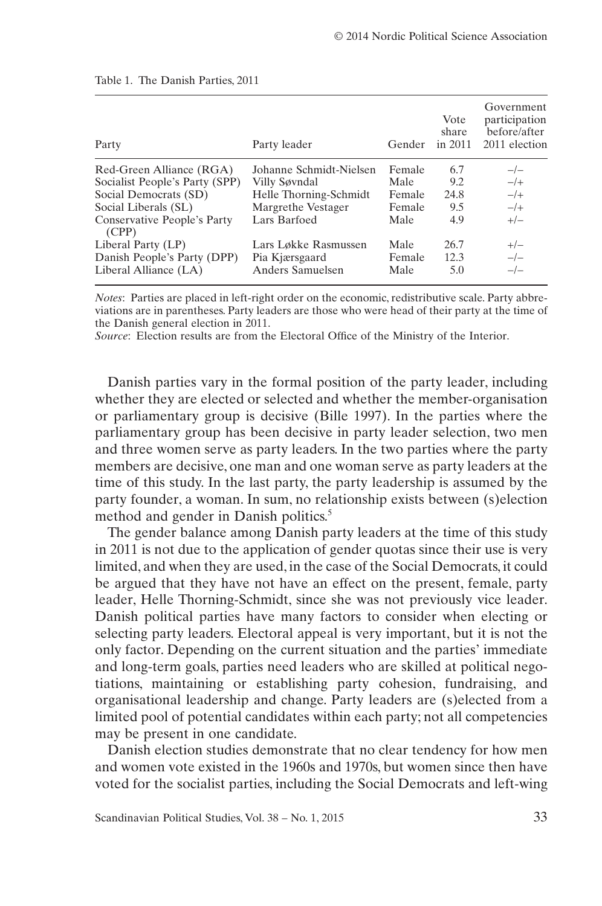| Party                                | Party leader            | Gender | Vote<br>share<br>in 2011 | Government<br>participation<br>before/after<br>2011 election |
|--------------------------------------|-------------------------|--------|--------------------------|--------------------------------------------------------------|
| Red-Green Alliance (RGA)             | Johanne Schmidt-Nielsen | Female | 6.7                      | $-\prime -$                                                  |
| Socialist People's Party (SPP)       | Villy Søvndal           | Male   | 9.2                      | $-$ /+                                                       |
| Social Democrats (SD)                | Helle Thorning-Schmidt  | Female | 24.8                     | $-/+$                                                        |
| Social Liberals (SL)                 | Margrethe Vestager      | Female | 9.5                      | $-/+$                                                        |
| Conservative People's Party<br>(CPP) | Lars Barfoed            | Male   | 4.9                      | $+/-$                                                        |
| Liberal Party (LP)                   | Lars Løkke Rasmussen    | Male   | 26.7                     | $+/-$                                                        |
| Danish People's Party (DPP)          | Pia Kjærsgaard          | Female | 12.3                     | $-/-$                                                        |
| Liberal Alliance (LA)                | Anders Samuelsen        | Male   | 5.0                      | $-/-$                                                        |

| Table 1. The Danish Parties. 2011 |
|-----------------------------------|
|-----------------------------------|

*Notes*: Parties are placed in left-right order on the economic, redistributive scale. Party abbreviations are in parentheses. Party leaders are those who were head of their party at the time of the Danish general election in 2011.

*Source*: Election results are from the Electoral Office of the Ministry of the Interior.

Danish parties vary in the formal position of the party leader, including whether they are elected or selected and whether the member-organisation or parliamentary group is decisive (Bille 1997). In the parties where the parliamentary group has been decisive in party leader selection, two men and three women serve as party leaders. In the two parties where the party members are decisive, one man and one woman serve as party leaders at the time of this study. In the last party, the party leadership is assumed by the party founder, a woman. In sum, no relationship exists between (s)election method and gender in Danish politics.<sup>5</sup>

The gender balance among Danish party leaders at the time of this study in 2011 is not due to the application of gender quotas since their use is very limited, and when they are used, in the case of the Social Democrats, it could be argued that they have not have an effect on the present, female, party leader, Helle Thorning-Schmidt, since she was not previously vice leader. Danish political parties have many factors to consider when electing or selecting party leaders. Electoral appeal is very important, but it is not the only factor. Depending on the current situation and the parties' immediate and long-term goals, parties need leaders who are skilled at political negotiations, maintaining or establishing party cohesion, fundraising, and organisational leadership and change. Party leaders are (s)elected from a limited pool of potential candidates within each party; not all competencies may be present in one candidate.

Danish election studies demonstrate that no clear tendency for how men and women vote existed in the 1960s and 1970s, but women since then have voted for the socialist parties, including the Social Democrats and left-wing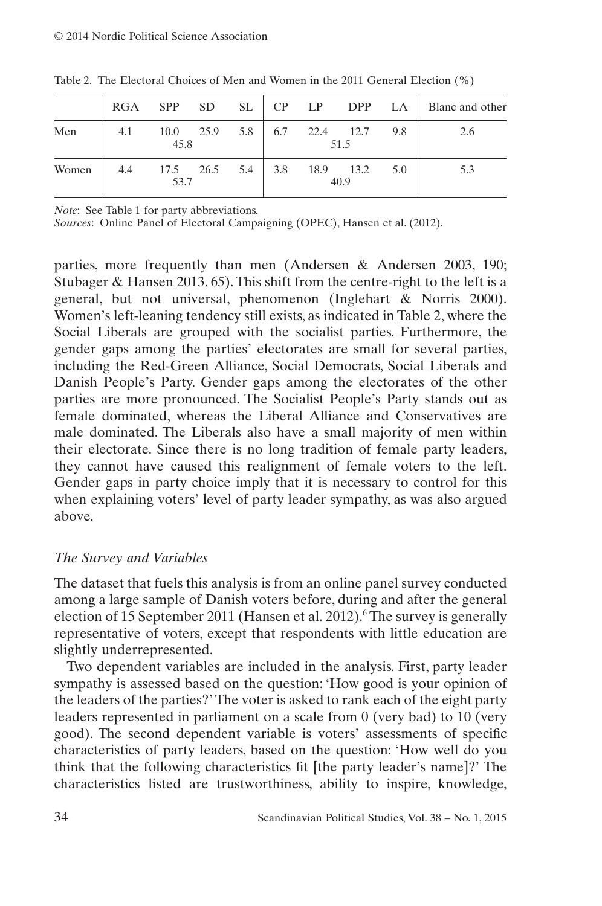|       |     |      |                     |  |                                         |                       |     | RGA SPP SD SL   CP LP DPP LA   Blanc and other |
|-------|-----|------|---------------------|--|-----------------------------------------|-----------------------|-----|------------------------------------------------|
| Men   | 4.1 | 45.8 |                     |  | $10.0$ $25.9$ $5.8$ $6.7$ $22.4$ $12.7$ | 51.5                  | 9.8 | 2.6                                            |
| Women | 4.4 | 53.7 | $17.5$ $26.5$ $5.4$ |  |                                         | 3.8 18.9 13.2<br>40.9 | 5.0 | 5.3                                            |

Table 2. The Electoral Choices of Men and Women in the 2011 General Election (%)

*Note*: See Table 1 for party abbreviations.

*Sources*: Online Panel of Electoral Campaigning (OPEC), Hansen et al. (2012).

parties, more frequently than men (Andersen & Andersen 2003, 190; Stubager & Hansen 2013, 65). This shift from the centre-right to the left is a general, but not universal, phenomenon (Inglehart & Norris 2000). Women's left-leaning tendency still exists, as indicated in Table 2, where the Social Liberals are grouped with the socialist parties. Furthermore, the gender gaps among the parties' electorates are small for several parties, including the Red-Green Alliance, Social Democrats, Social Liberals and Danish People's Party. Gender gaps among the electorates of the other parties are more pronounced. The Socialist People's Party stands out as female dominated, whereas the Liberal Alliance and Conservatives are male dominated. The Liberals also have a small majority of men within their electorate. Since there is no long tradition of female party leaders, they cannot have caused this realignment of female voters to the left. Gender gaps in party choice imply that it is necessary to control for this when explaining voters' level of party leader sympathy, as was also argued above.

### *The Survey and Variables*

The dataset that fuels this analysis is from an online panel survey conducted among a large sample of Danish voters before, during and after the general election of 15 September 2011 (Hansen et al. 2012).<sup>6</sup> The survey is generally representative of voters, except that respondents with little education are slightly underrepresented.

Two dependent variables are included in the analysis. First, party leader sympathy is assessed based on the question: 'How good is your opinion of the leaders of the parties?' The voter is asked to rank each of the eight party leaders represented in parliament on a scale from 0 (very bad) to 10 (very good). The second dependent variable is voters' assessments of specific characteristics of party leaders, based on the question: 'How well do you think that the following characteristics fit [the party leader's name]?' The characteristics listed are trustworthiness, ability to inspire, knowledge,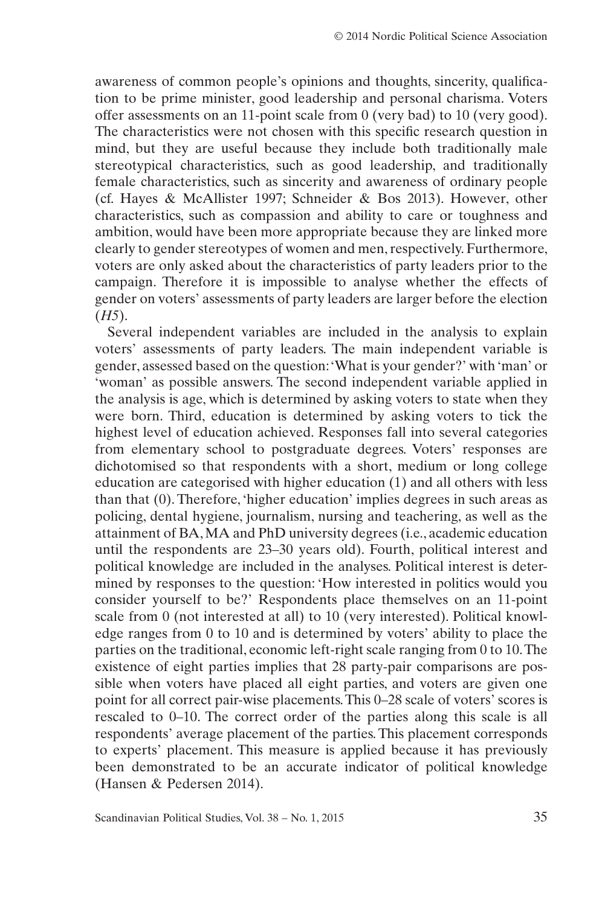awareness of common people's opinions and thoughts, sincerity, qualification to be prime minister, good leadership and personal charisma. Voters offer assessments on an 11-point scale from 0 (very bad) to 10 (very good). The characteristics were not chosen with this specific research question in mind, but they are useful because they include both traditionally male stereotypical characteristics, such as good leadership, and traditionally female characteristics, such as sincerity and awareness of ordinary people (cf. Hayes & McAllister 1997; Schneider & Bos 2013). However, other characteristics, such as compassion and ability to care or toughness and ambition, would have been more appropriate because they are linked more clearly to gender stereotypes of women and men, respectively. Furthermore, voters are only asked about the characteristics of party leaders prior to the campaign. Therefore it is impossible to analyse whether the effects of gender on voters' assessments of party leaders are larger before the election (*H5*).

Several independent variables are included in the analysis to explain voters' assessments of party leaders. The main independent variable is gender, assessed based on the question:'What is your gender?' with 'man' or 'woman' as possible answers. The second independent variable applied in the analysis is age, which is determined by asking voters to state when they were born. Third, education is determined by asking voters to tick the highest level of education achieved. Responses fall into several categories from elementary school to postgraduate degrees. Voters' responses are dichotomised so that respondents with a short, medium or long college education are categorised with higher education (1) and all others with less than that (0). Therefore, 'higher education' implies degrees in such areas as policing, dental hygiene, journalism, nursing and teachering, as well as the attainment of BA, MA and PhD university degrees (i.e., academic education until the respondents are 23–30 years old). Fourth, political interest and political knowledge are included in the analyses. Political interest is determined by responses to the question: 'How interested in politics would you consider yourself to be?' Respondents place themselves on an 11-point scale from 0 (not interested at all) to 10 (very interested). Political knowledge ranges from 0 to 10 and is determined by voters' ability to place the parties on the traditional, economic left-right scale ranging from 0 to 10.The existence of eight parties implies that 28 party-pair comparisons are possible when voters have placed all eight parties, and voters are given one point for all correct pair-wise placements. This 0–28 scale of voters' scores is rescaled to 0–10. The correct order of the parties along this scale is all respondents' average placement of the parties. This placement corresponds to experts' placement. This measure is applied because it has previously been demonstrated to be an accurate indicator of political knowledge (Hansen & Pedersen 2014).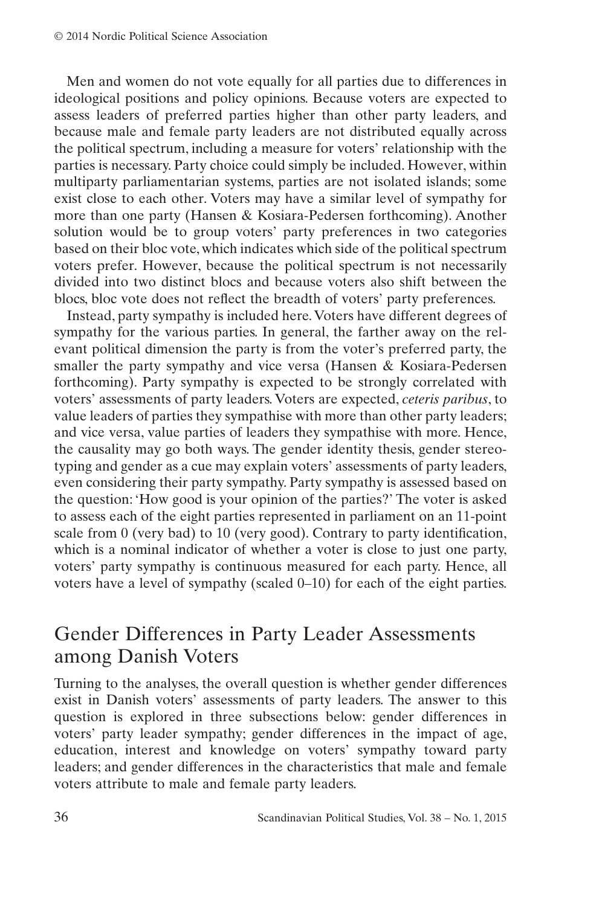Men and women do not vote equally for all parties due to differences in ideological positions and policy opinions. Because voters are expected to assess leaders of preferred parties higher than other party leaders, and because male and female party leaders are not distributed equally across the political spectrum, including a measure for voters' relationship with the parties is necessary. Party choice could simply be included. However, within multiparty parliamentarian systems, parties are not isolated islands; some exist close to each other. Voters may have a similar level of sympathy for more than one party (Hansen & Kosiara-Pedersen forthcoming). Another solution would be to group voters' party preferences in two categories based on their bloc vote, which indicates which side of the political spectrum voters prefer. However, because the political spectrum is not necessarily divided into two distinct blocs and because voters also shift between the blocs, bloc vote does not reflect the breadth of voters' party preferences.

Instead, party sympathy is included here. Voters have different degrees of sympathy for the various parties. In general, the farther away on the relevant political dimension the party is from the voter's preferred party, the smaller the party sympathy and vice versa (Hansen & Kosiara-Pedersen forthcoming). Party sympathy is expected to be strongly correlated with voters' assessments of party leaders. Voters are expected, *ceteris paribus*, to value leaders of parties they sympathise with more than other party leaders; and vice versa, value parties of leaders they sympathise with more. Hence, the causality may go both ways. The gender identity thesis, gender stereotyping and gender as a cue may explain voters' assessments of party leaders, even considering their party sympathy. Party sympathy is assessed based on the question: 'How good is your opinion of the parties?' The voter is asked to assess each of the eight parties represented in parliament on an 11-point scale from 0 (very bad) to 10 (very good). Contrary to party identification, which is a nominal indicator of whether a voter is close to just one party, voters' party sympathy is continuous measured for each party. Hence, all voters have a level of sympathy (scaled 0–10) for each of the eight parties.

# Gender Differences in Party Leader Assessments among Danish Voters

Turning to the analyses, the overall question is whether gender differences exist in Danish voters' assessments of party leaders. The answer to this question is explored in three subsections below: gender differences in voters' party leader sympathy; gender differences in the impact of age, education, interest and knowledge on voters' sympathy toward party leaders; and gender differences in the characteristics that male and female voters attribute to male and female party leaders.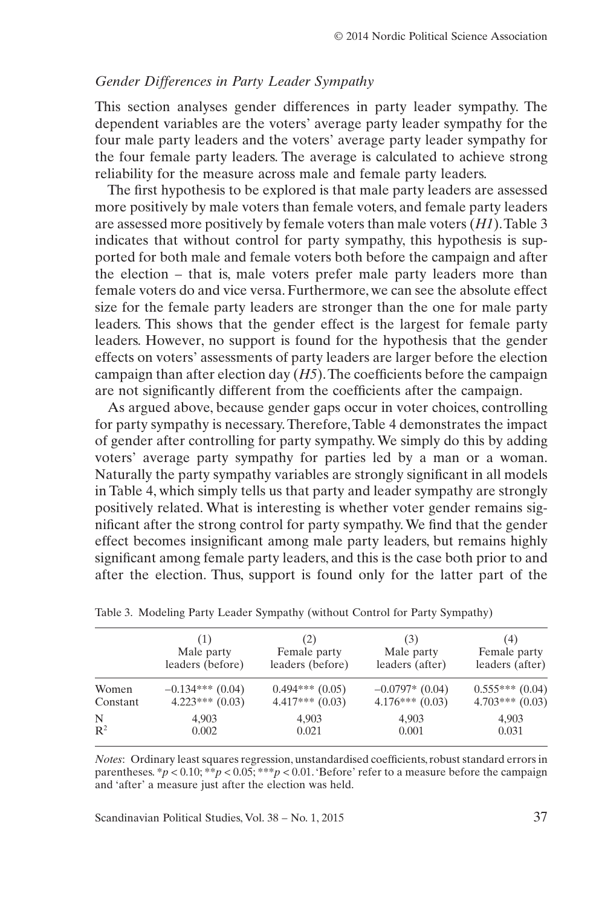### *Gender Differences in Party Leader Sympathy*

This section analyses gender differences in party leader sympathy. The dependent variables are the voters' average party leader sympathy for the four male party leaders and the voters' average party leader sympathy for the four female party leaders. The average is calculated to achieve strong reliability for the measure across male and female party leaders.

The first hypothesis to be explored is that male party leaders are assessed more positively by male voters than female voters, and female party leaders are assessed more positively by female voters than male voters (*H1*).Table 3 indicates that without control for party sympathy, this hypothesis is supported for both male and female voters both before the campaign and after the election – that is, male voters prefer male party leaders more than female voters do and vice versa. Furthermore, we can see the absolute effect size for the female party leaders are stronger than the one for male party leaders. This shows that the gender effect is the largest for female party leaders. However, no support is found for the hypothesis that the gender effects on voters' assessments of party leaders are larger before the election campaign than after election day (*H5*).The coefficients before the campaign are not significantly different from the coefficients after the campaign.

As argued above, because gender gaps occur in voter choices, controlling for party sympathy is necessary.Therefore,Table 4 demonstrates the impact of gender after controlling for party sympathy. We simply do this by adding voters' average party sympathy for parties led by a man or a woman. Naturally the party sympathy variables are strongly significant in all models in Table 4, which simply tells us that party and leader sympathy are strongly positively related. What is interesting is whether voter gender remains significant after the strong control for party sympathy. We find that the gender effect becomes insignificant among male party leaders, but remains highly significant among female party leaders, and this is the case both prior to and after the election. Thus, support is found only for the latter part of the

|                | (1)                | (2)              | (3)               | (4)              |
|----------------|--------------------|------------------|-------------------|------------------|
|                | Male party         | Female party     | Male party        | Female party     |
|                | leaders (before)   | leaders (before) | leaders (after)   | leaders (after)  |
| Women          | $-0.134***$ (0.04) | $0.494***(0.05)$ | $-0.0797*$ (0.04) | $0.555***(0.04)$ |
| Constant       | $4.223***(0.03)$   | $4.417***(0.03)$ | $4.176***(0.03)$  | $4.703***(0.03)$ |
| N              | 4,903              | 4,903            | 4,903             | 4,903            |
| $\mathbb{R}^2$ | 0.002              | 0.021            | 0.001             | 0.031            |

Table 3. Modeling Party Leader Sympathy (without Control for Party Sympathy)

*Notes*: Ordinary least squares regression, unstandardised coefficients, robust standard errors in parentheses. \**p* < 0.10; \*\**p* < 0.05; \*\*\**p* < 0.01. 'Before' refer to a measure before the campaign and 'after' a measure just after the election was held.

Scandinavian Political Studies, Vol. 38 – No. 1, 2015 37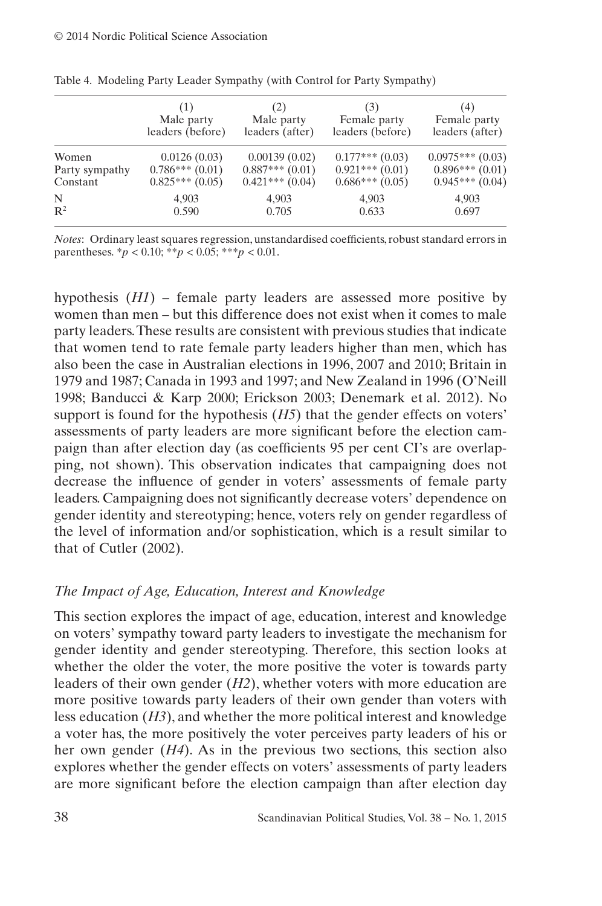|                | (1)<br>Male party<br>leaders (before) | (2)<br>Male party<br>leaders (after) | (3)<br>Female party<br>leaders (before) | (4)<br>Female party<br>leaders (after) |
|----------------|---------------------------------------|--------------------------------------|-----------------------------------------|----------------------------------------|
| Women          | 0.0126(0.03)                          | 0.00139(0.02)                        | $0.177***(0.03)$                        | $0.0975***(0.03)$                      |
| Party sympathy | $0.786***(0.01)$                      | $0.887***(0.01)$                     | $0.921***(0.01)$                        | $0.896***(0.01)$                       |
| Constant       | $0.825***(0.05)$                      | $0.421***(0.04)$                     | $0.686***(0.05)$                        | $0.945***(0.04)$                       |
| N              | 4.903                                 | 4,903                                | 4,903                                   | 4,903                                  |
| $\mathbb{R}^2$ | 0.590                                 | 0.705                                | 0.633                                   | 0.697                                  |

Table 4. Modeling Party Leader Sympathy (with Control for Party Sympathy)

*Notes*: Ordinary least squares regression, unstandardised coefficients, robust standard errors in parentheses.  $*_{p}$  < 0.10;  $*_{p}$  < 0.05;  $*_{p}$  < 0.01.

hypothesis (*H1*) – female party leaders are assessed more positive by women than men – but this difference does not exist when it comes to male party leaders.These results are consistent with previous studies that indicate that women tend to rate female party leaders higher than men, which has also been the case in Australian elections in 1996, 2007 and 2010; Britain in 1979 and 1987; Canada in 1993 and 1997; and New Zealand in 1996 (O'Neill 1998; Banducci & Karp 2000; Erickson 2003; Denemark et al. 2012). No support is found for the hypothesis (*H5*) that the gender effects on voters' assessments of party leaders are more significant before the election campaign than after election day (as coefficients 95 per cent CI's are overlapping, not shown). This observation indicates that campaigning does not decrease the influence of gender in voters' assessments of female party leaders. Campaigning does not significantly decrease voters' dependence on gender identity and stereotyping; hence, voters rely on gender regardless of the level of information and/or sophistication, which is a result similar to that of Cutler (2002).

### *The Impact of Age, Education, Interest and Knowledge*

This section explores the impact of age, education, interest and knowledge on voters' sympathy toward party leaders to investigate the mechanism for gender identity and gender stereotyping. Therefore, this section looks at whether the older the voter, the more positive the voter is towards party leaders of their own gender (*H2*), whether voters with more education are more positive towards party leaders of their own gender than voters with less education (*H3*), and whether the more political interest and knowledge a voter has, the more positively the voter perceives party leaders of his or her own gender (*H4*). As in the previous two sections, this section also explores whether the gender effects on voters' assessments of party leaders are more significant before the election campaign than after election day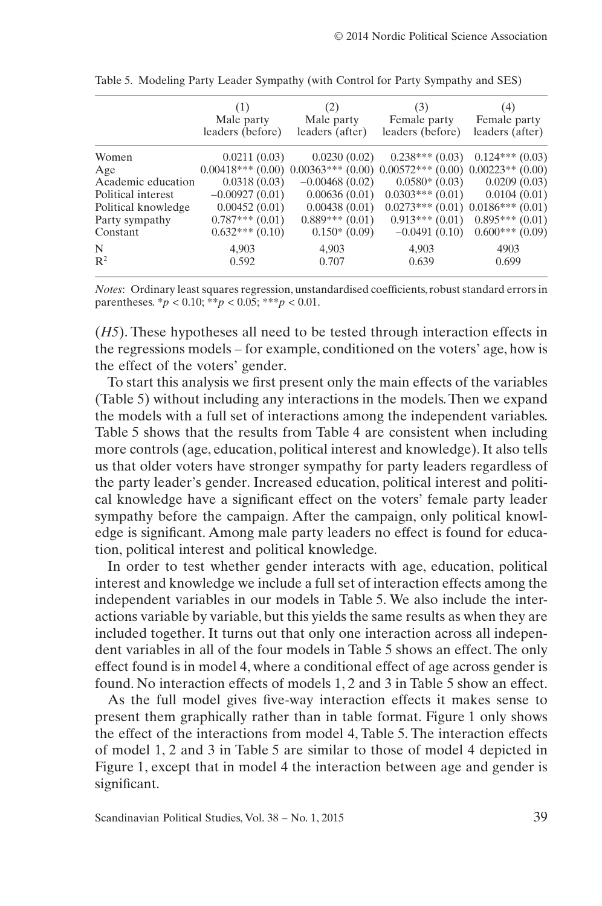|                     | (1)<br>Male party<br>leaders (before) | (2)<br>Male party<br>leaders (after) | (3)<br>Female party<br>leaders (before)                                        | (4)<br>Female party<br>leaders (after) |  |
|---------------------|---------------------------------------|--------------------------------------|--------------------------------------------------------------------------------|----------------------------------------|--|
| Women               | 0.0211(0.03)                          | 0.0230(0.02)                         | $0.238***(0.03)$                                                               | $0.124***(0.03)$                       |  |
| Age                 |                                       |                                      | $0.00418***$ (0.00) $0.00363***$ (0.00) $0.00572***$ (0.00) $0.00223**$ (0.00) |                                        |  |
| Academic education  | 0.0318(0.03)                          | $-0.00468(0.02)$                     | $0.0580*(0.03)$                                                                | 0.0209(0.03)                           |  |
| Political interest  | $-0.00927(0.01)$                      | 0.00636(0.01)                        | $0.0303***$ (0.01)                                                             | 0.0104(0.01)                           |  |
| Political knowledge | 0.00452(0.01)                         | 0.00438(0.01)                        |                                                                                | $0.0273***$ (0.01) $0.0186***$ (0.01)  |  |
| Party sympathy      | $0.787***(0.01)$                      | $0.889***(0.01)$                     | $0.913***(0.01)$                                                               | $0.895***(0.01)$                       |  |
| Constant            | $0.632***(0.10)$                      | $0.150*(0.09)$                       | $-0.0491(0.10)$                                                                | $0.600***(0.09)$                       |  |
| N                   | 4,903                                 | 4,903                                | 4.903                                                                          | 4903                                   |  |
| $\mathbb{R}^2$      | 0.592                                 | 0.707                                | 0.639                                                                          | 0.699                                  |  |

Table 5. Modeling Party Leader Sympathy (with Control for Party Sympathy and SES)

*Notes*: Ordinary least squares regression, unstandardised coefficients, robust standard errors in parentheses.  $* p < 0.10$ ;  $* p < 0.05$ ;  $* * p < 0.01$ .

(*H5*). These hypotheses all need to be tested through interaction effects in the regressions models – for example, conditioned on the voters' age, how is the effect of the voters' gender.

To start this analysis we first present only the main effects of the variables (Table 5) without including any interactions in the models. Then we expand the models with a full set of interactions among the independent variables. Table 5 shows that the results from Table 4 are consistent when including more controls (age, education, political interest and knowledge). It also tells us that older voters have stronger sympathy for party leaders regardless of the party leader's gender. Increased education, political interest and political knowledge have a significant effect on the voters' female party leader sympathy before the campaign. After the campaign, only political knowledge is significant. Among male party leaders no effect is found for education, political interest and political knowledge.

In order to test whether gender interacts with age, education, political interest and knowledge we include a full set of interaction effects among the independent variables in our models in Table 5. We also include the interactions variable by variable, but this yields the same results as when they are included together. It turns out that only one interaction across all independent variables in all of the four models in Table 5 shows an effect. The only effect found is in model 4, where a conditional effect of age across gender is found. No interaction effects of models 1, 2 and 3 in Table 5 show an effect.

As the full model gives five-way interaction effects it makes sense to present them graphically rather than in table format. Figure 1 only shows the effect of the interactions from model 4, Table 5. The interaction effects of model 1, 2 and 3 in Table 5 are similar to those of model 4 depicted in Figure 1, except that in model 4 the interaction between age and gender is significant.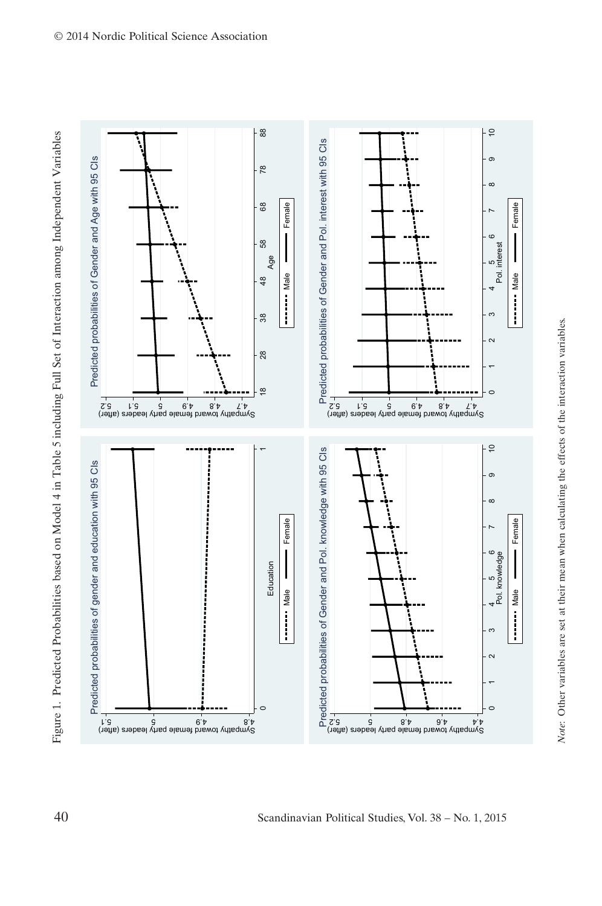

© 2014 Nordic Political Science Association

40 Scandinavian Political Studies, Vol. 38 – No. 1, 2015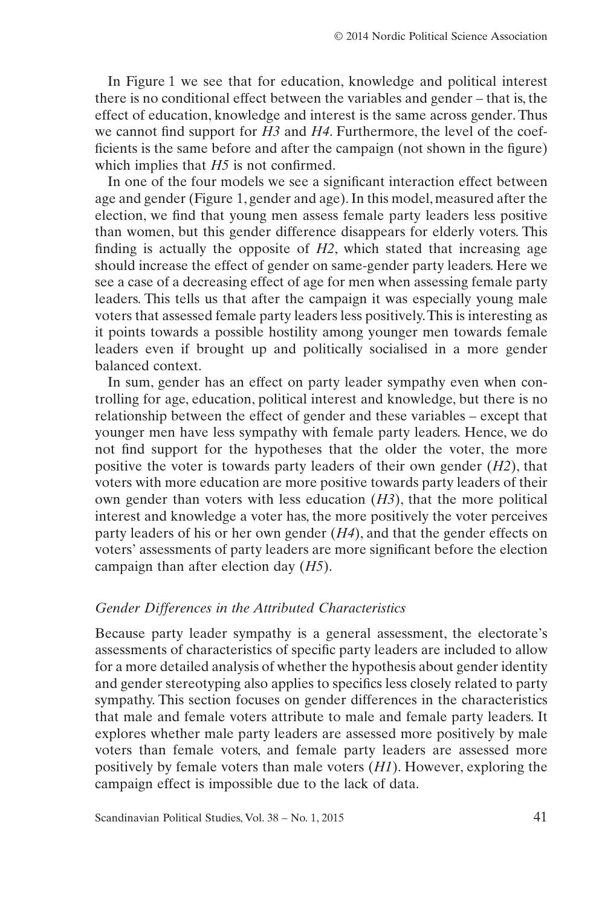In Figure 1 we see that for education, knowledge and political interest there is no conditional effect between the variables and gender – that is, the effect of education, knowledge and interest is the same across gender. Thus we cannot find support for *H3* and *H4*. Furthermore, the level of the coefficients is the same before and after the campaign (not shown in the figure) which implies that  $H5$  is not confirmed.

In one of the four models we see a significant interaction effect between age and gender (Figure 1, gender and age). In this model, measured after the election, we find that young men assess female party leaders less positive than women, but this gender difference disappears for elderly voters. This finding is actually the opposite of *H2*, which stated that increasing age should increase the effect of gender on same-gender party leaders. Here we see a case of a decreasing effect of age for men when assessing female party leaders. This tells us that after the campaign it was especially young male voters that assessed female party leaders less positively.This is interesting as it points towards a possible hostility among younger men towards female leaders even if brought up and politically socialised in a more gender balanced context.

In sum, gender has an effect on party leader sympathy even when controlling for age, education, political interest and knowledge, but there is no relationship between the effect of gender and these variables – except that younger men have less sympathy with female party leaders. Hence, we do not find support for the hypotheses that the older the voter, the more positive the voter is towards party leaders of their own gender (*H2*), that voters with more education are more positive towards party leaders of their own gender than voters with less education (*H3*), that the more political interest and knowledge a voter has, the more positively the voter perceives party leaders of his or her own gender (*H4*), and that the gender effects on voters' assessments of party leaders are more significant before the election campaign than after election day (*H5*).

#### *Gender Differences in the Attributed Characteristics*

Because party leader sympathy is a general assessment, the electorate's assessments of characteristics of specific party leaders are included to allow for a more detailed analysis of whether the hypothesis about gender identity and gender stereotyping also applies to specifics less closely related to party sympathy. This section focuses on gender differences in the characteristics that male and female voters attribute to male and female party leaders. It explores whether male party leaders are assessed more positively by male voters than female voters, and female party leaders are assessed more positively by female voters than male voters (*H1*). However, exploring the campaign effect is impossible due to the lack of data.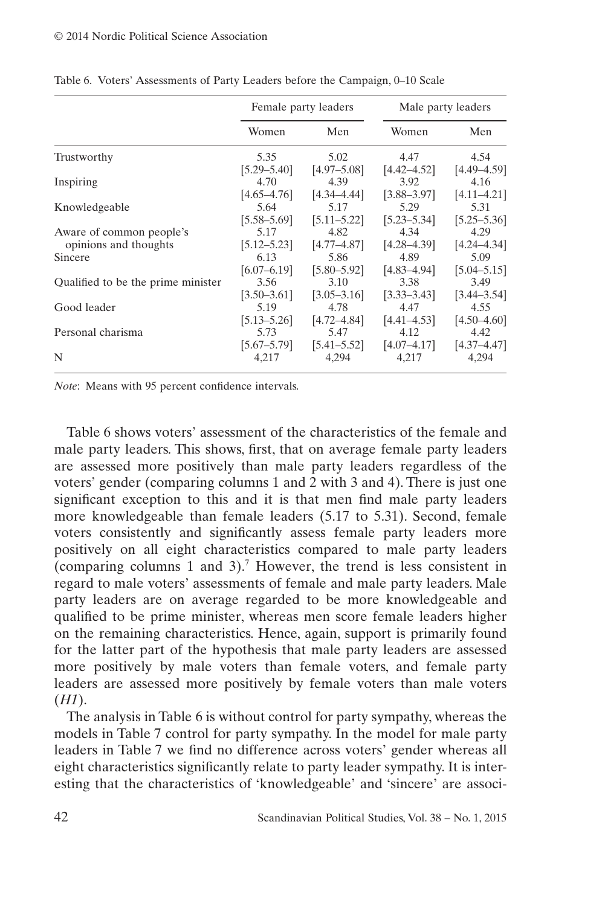|                                    | Female party leaders |                 | Male party leaders |                 |  |
|------------------------------------|----------------------|-----------------|--------------------|-----------------|--|
|                                    | Women                | Men             | Women              | Men             |  |
| Trustworthy                        | 5.35                 | 5.02            | 4.47               | 4.54            |  |
|                                    | $[5.29 - 5.40]$      | $[4.97 - 5.08]$ | $[4.42 - 4.52]$    | $[4.49 - 4.59]$ |  |
| Inspiring                          | 4.70                 | 4.39            | 3.92               | 4.16            |  |
|                                    | $[4.65 - 4.76]$      | $[4.34 - 4.44]$ | $[3.88 - 3.97]$    | $[4.11 - 4.21]$ |  |
| Knowledgeable                      | 5.64                 | 5.17            | 5.29               | 5.31            |  |
|                                    | $[5.58 - 5.69]$      | $[5.11 - 5.22]$ | $[5.23 - 5.34]$    | $[5.25 - 5.36]$ |  |
| Aware of common people's           | 5.17                 | 4.82            | 4.34               | 4.29            |  |
| opinions and thoughts              | $[5.12 - 5.23]$      | $[4.77 - 4.87]$ | [4.28–4.39]        | $[4.24 - 4.34]$ |  |
| Sincere                            | 6.13                 | 5.86            | 4.89               | 5.09            |  |
|                                    | $[6.07 - 6.19]$      | $[5.80 - 5.92]$ | $[4.83 - 4.94]$    | $[5.04 - 5.15]$ |  |
| Qualified to be the prime minister | 3.56                 | 3.10            | 3.38               | 3.49            |  |
|                                    | $[3.50 - 3.61]$      | $[3.05 - 3.16]$ | $[3.33 - 3.43]$    | $[3.44 - 3.54]$ |  |
| Good leader                        | 5.19                 | 4.78            | 4.47               | 4.55            |  |
|                                    | $[5.13 - 5.26]$      | $[4.72 - 4.84]$ | $[4.41 - 4.53]$    | $[4.50 - 4.60]$ |  |
| Personal charisma                  | 5.73                 | 5.47            | 4.12               | 4.42            |  |
|                                    | [5.67–5.79]          | $[5.41 - 5.52]$ | $[4.07 - 4.17]$    | $[4.37 - 4.47]$ |  |
| N                                  | 4.217                | 4.294           | 4,217              | 4,294           |  |

Table 6. Voters' Assessments of Party Leaders before the Campaign, 0–10 Scale

*Note*: Means with 95 percent confidence intervals.

Table 6 shows voters' assessment of the characteristics of the female and male party leaders. This shows, first, that on average female party leaders are assessed more positively than male party leaders regardless of the voters' gender (comparing columns 1 and 2 with 3 and 4). There is just one significant exception to this and it is that men find male party leaders more knowledgeable than female leaders (5.17 to 5.31). Second, female voters consistently and significantly assess female party leaders more positively on all eight characteristics compared to male party leaders (comparing columns 1 and 3).7 However, the trend is less consistent in regard to male voters' assessments of female and male party leaders. Male party leaders are on average regarded to be more knowledgeable and qualified to be prime minister, whereas men score female leaders higher on the remaining characteristics. Hence, again, support is primarily found for the latter part of the hypothesis that male party leaders are assessed more positively by male voters than female voters, and female party leaders are assessed more positively by female voters than male voters (*H1*).

The analysis in Table 6 is without control for party sympathy, whereas the models in Table 7 control for party sympathy. In the model for male party leaders in Table 7 we find no difference across voters' gender whereas all eight characteristics significantly relate to party leader sympathy. It is interesting that the characteristics of 'knowledgeable' and 'sincere' are associ-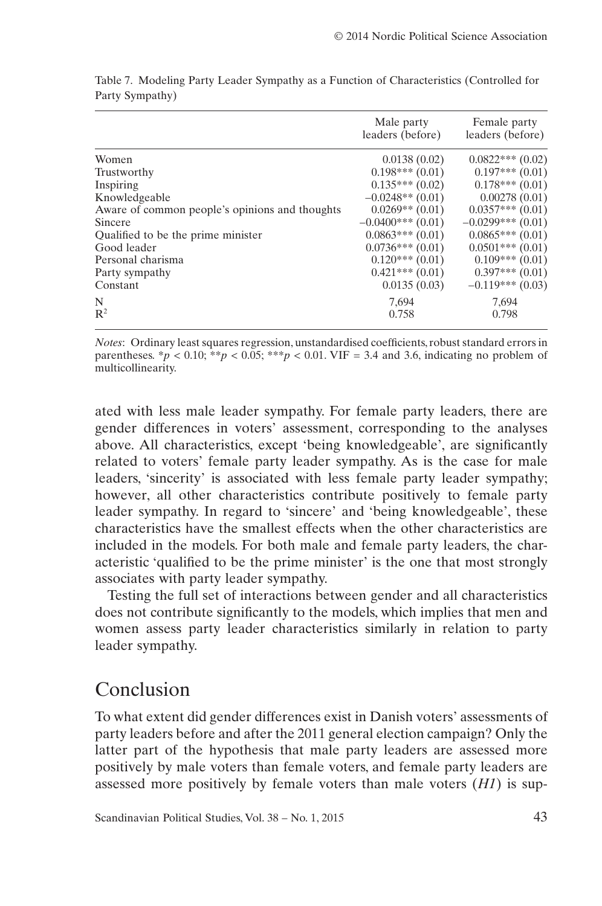|                                                | Male party<br>leaders (before) | Female party<br>leaders (before) |
|------------------------------------------------|--------------------------------|----------------------------------|
| Women                                          | 0.0138(0.02)                   | $0.0822***(0.02)$                |
| Trustworthy                                    | $0.198***(0.01)$               | $0.197***(0.01)$                 |
| Inspiring                                      | $0.135***(0.02)$               | $0.178***(0.01)$                 |
| Knowledgeable                                  | $-0.0248**$ (0.01)             | 0.00278(0.01)                    |
| Aware of common people's opinions and thoughts | $0.0269**$ (0.01)              | $0.0357***(0.01)$                |
| Sincere                                        | $-0.0400***(0.01)$             | $-0.0299***$ (0.01)              |
| Qualified to be the prime minister             | $0.0863***(0.01)$              | $0.0865***(0.01)$                |
| Good leader                                    | $0.0736***(0.01)$              | $0.0501***(0.01)$                |
| Personal charisma                              | $0.120***(0.01)$               | $0.109***(0.01)$                 |
| Party sympathy                                 | $0.421***(0.01)$               | $0.397***(0.01)$                 |
| Constant                                       | 0.0135(0.03)                   | $-0.119***$ (0.03)               |
| N                                              | 7,694                          | 7,694                            |
| $\mathbb{R}^2$                                 | 0.758                          | 0.798                            |

Table 7. Modeling Party Leader Sympathy as a Function of Characteristics (Controlled for Party Sympathy)

*Notes*: Ordinary least squares regression, unstandardised coefficients, robust standard errors in parentheses.  $p < 0.10$ ;  $p > 0.05$ ;  $p > 0.01$ . VIF = 3.4 and 3.6, indicating no problem of multicollinearity.

ated with less male leader sympathy. For female party leaders, there are gender differences in voters' assessment, corresponding to the analyses above. All characteristics, except 'being knowledgeable', are significantly related to voters' female party leader sympathy. As is the case for male leaders, 'sincerity' is associated with less female party leader sympathy; however, all other characteristics contribute positively to female party leader sympathy. In regard to 'sincere' and 'being knowledgeable', these characteristics have the smallest effects when the other characteristics are included in the models. For both male and female party leaders, the characteristic 'qualified to be the prime minister' is the one that most strongly associates with party leader sympathy.

Testing the full set of interactions between gender and all characteristics does not contribute significantly to the models, which implies that men and women assess party leader characteristics similarly in relation to party leader sympathy.

# Conclusion

To what extent did gender differences exist in Danish voters' assessments of party leaders before and after the 2011 general election campaign? Only the latter part of the hypothesis that male party leaders are assessed more positively by male voters than female voters, and female party leaders are assessed more positively by female voters than male voters (*H1*) is sup-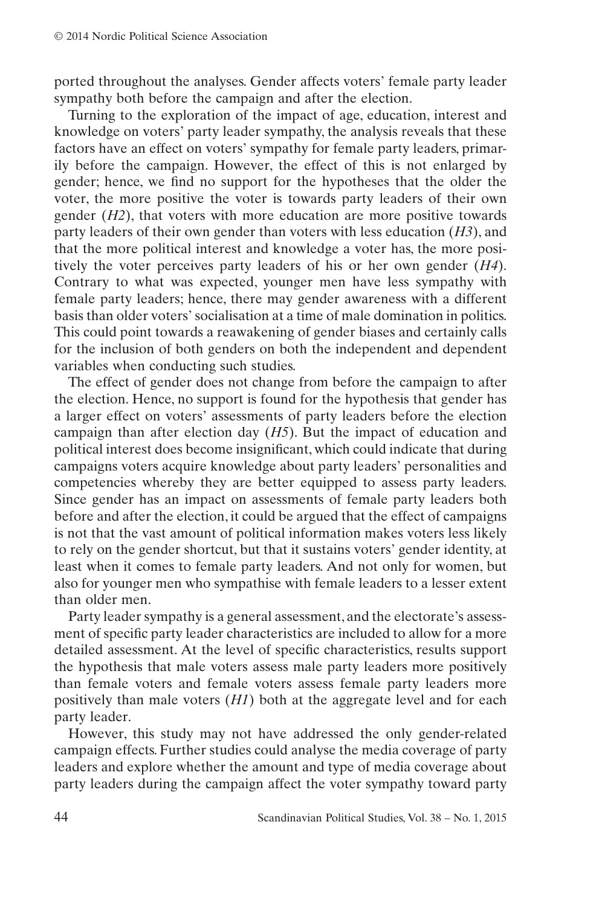ported throughout the analyses. Gender affects voters' female party leader sympathy both before the campaign and after the election.

Turning to the exploration of the impact of age, education, interest and knowledge on voters' party leader sympathy, the analysis reveals that these factors have an effect on voters' sympathy for female party leaders, primarily before the campaign. However, the effect of this is not enlarged by gender; hence, we find no support for the hypotheses that the older the voter, the more positive the voter is towards party leaders of their own gender  $(H2)$ , that voters with more education are more positive towards party leaders of their own gender than voters with less education (*H3*), and that the more political interest and knowledge a voter has, the more positively the voter perceives party leaders of his or her own gender (*H4*). Contrary to what was expected, younger men have less sympathy with female party leaders; hence, there may gender awareness with a different basis than older voters' socialisation at a time of male domination in politics. This could point towards a reawakening of gender biases and certainly calls for the inclusion of both genders on both the independent and dependent variables when conducting such studies.

The effect of gender does not change from before the campaign to after the election. Hence, no support is found for the hypothesis that gender has a larger effect on voters' assessments of party leaders before the election campaign than after election day (*H5*). But the impact of education and political interest does become insignificant, which could indicate that during campaigns voters acquire knowledge about party leaders' personalities and competencies whereby they are better equipped to assess party leaders. Since gender has an impact on assessments of female party leaders both before and after the election, it could be argued that the effect of campaigns is not that the vast amount of political information makes voters less likely to rely on the gender shortcut, but that it sustains voters' gender identity, at least when it comes to female party leaders. And not only for women, but also for younger men who sympathise with female leaders to a lesser extent than older men.

Party leader sympathy is a general assessment, and the electorate's assessment of specific party leader characteristics are included to allow for a more detailed assessment. At the level of specific characteristics, results support the hypothesis that male voters assess male party leaders more positively than female voters and female voters assess female party leaders more positively than male voters (*H1*) both at the aggregate level and for each party leader.

However, this study may not have addressed the only gender-related campaign effects. Further studies could analyse the media coverage of party leaders and explore whether the amount and type of media coverage about party leaders during the campaign affect the voter sympathy toward party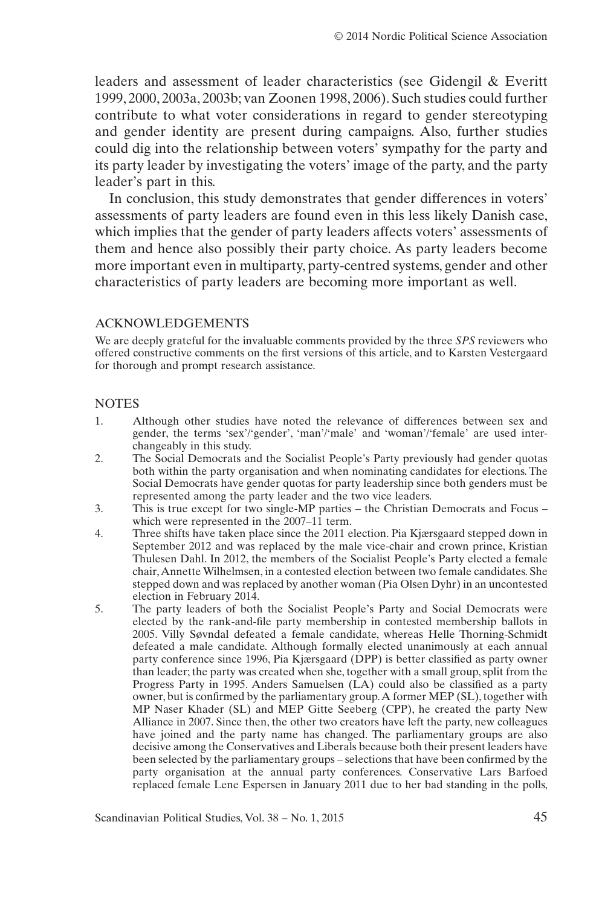leaders and assessment of leader characteristics (see Gidengil & Everitt 1999, 2000, 2003a, 2003b; van Zoonen 1998, 2006). Such studies could further contribute to what voter considerations in regard to gender stereotyping and gender identity are present during campaigns. Also, further studies could dig into the relationship between voters' sympathy for the party and its party leader by investigating the voters' image of the party, and the party leader's part in this.

In conclusion, this study demonstrates that gender differences in voters' assessments of party leaders are found even in this less likely Danish case, which implies that the gender of party leaders affects voters' assessments of them and hence also possibly their party choice. As party leaders become more important even in multiparty, party-centred systems, gender and other characteristics of party leaders are becoming more important as well.

#### ACKNOWLEDGEMENTS

We are deeply grateful for the invaluable comments provided by the three *SPS* reviewers who offered constructive comments on the first versions of this article, and to Karsten Vestergaard for thorough and prompt research assistance.

#### **NOTES**

- 1. Although other studies have noted the relevance of differences between sex and gender, the terms 'sex'/'gender', 'man'/'male' and 'woman'/'female' are used interchangeably in this study.
- 2. The Social Democrats and the Socialist People's Party previously had gender quotas both within the party organisation and when nominating candidates for elections. The Social Democrats have gender quotas for party leadership since both genders must be represented among the party leader and the two vice leaders.
- 3. This is true except for two single-MP parties the Christian Democrats and Focus which were represented in the 2007–11 term.
- 4. Three shifts have taken place since the 2011 election. Pia Kjærsgaard stepped down in September 2012 and was replaced by the male vice-chair and crown prince, Kristian Thulesen Dahl. In 2012, the members of the Socialist People's Party elected a female chair,Annette Wilhelmsen, in a contested election between two female candidates. She stepped down and was replaced by another woman (Pia Olsen Dyhr) in an uncontested election in February 2014.
- 5. The party leaders of both the Socialist People's Party and Social Democrats were elected by the rank-and-file party membership in contested membership ballots in 2005. Villy Søvndal defeated a female candidate, whereas Helle Thorning-Schmidt defeated a male candidate. Although formally elected unanimously at each annual party conference since 1996, Pia Kjærsgaard (DPP) is better classified as party owner than leader; the party was created when she, together with a small group, split from the Progress Party in 1995. Anders Samuelsen (LA) could also be classified as a party owner, but is confirmed by the parliamentary group.A former MEP (SL), together with MP Naser Khader (SL) and MEP Gitte Seeberg (CPP), he created the party New Alliance in 2007. Since then, the other two creators have left the party, new colleagues have joined and the party name has changed. The parliamentary groups are also decisive among the Conservatives and Liberals because both their present leaders have been selected by the parliamentary groups – selections that have been confirmed by the party organisation at the annual party conferences. Conservative Lars Barfoed replaced female Lene Espersen in January 2011 due to her bad standing in the polls,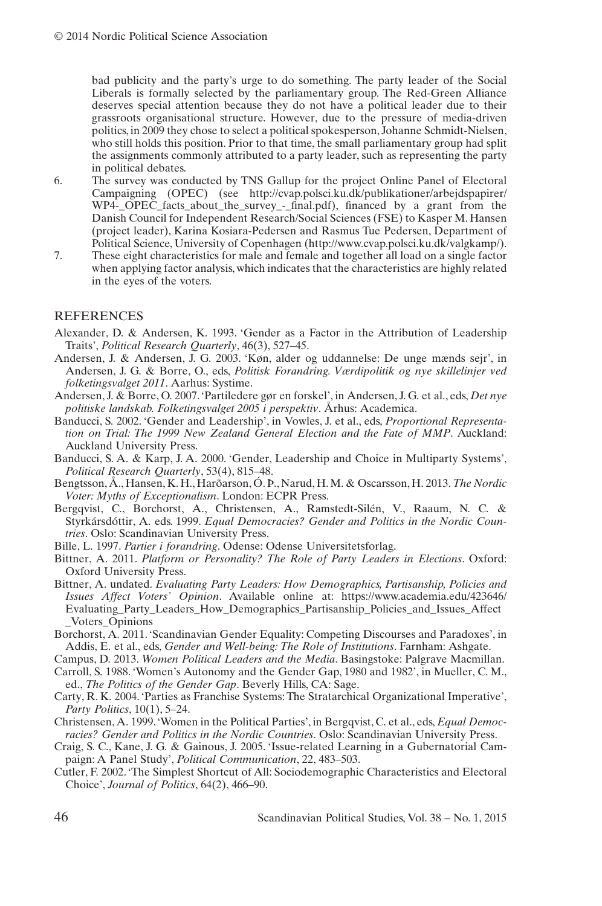bad publicity and the party's urge to do something. The party leader of the Social Liberals is formally selected by the parliamentary group. The Red-Green Alliance deserves special attention because they do not have a political leader due to their grassroots organisational structure. However, due to the pressure of media-driven politics, in 2009 they chose to select a political spokesperson, Johanne Schmidt-Nielsen, who still holds this position. Prior to that time, the small parliamentary group had split the assignments commonly attributed to a party leader, such as representing the party in political debates.

- 6. The survey was conducted by TNS Gallup for the project Online Panel of Electoral Campaigning (OPEC) (see [http://cvap.polsci.ku.dk/publikationer/arbejdspapirer/](http://cvap.polsci.ku.dk/publikationer/arbejdspapirer/WP4-_OPEC_facts_about_the_survey_-_final.pdf) [WP4-\\_OPEC\\_facts\\_about\\_the\\_survey\\_-\\_final.pdf\)](http://cvap.polsci.ku.dk/publikationer/arbejdspapirer/WP4-_OPEC_facts_about_the_survey_-_final.pdf), financed by a grant from the Danish Council for Independent Research/Social Sciences (FSE) to Kasper M. Hansen (project leader), Karina Kosiara-Pedersen and Rasmus Tue Pedersen, Department of Political Science, University of Copenhagen [\(http://www.cvap.polsci.ku.dk/valgkamp/\)](http://www.cvap.polsci.ku.dk/valgkamp/).
- 7. These eight characteristics for male and female and together all load on a single factor when applying factor analysis, which indicates that the characteristics are highly related in the eyes of the voters.

#### **REFERENCES**

- Alexander, D. & Andersen, K. 1993. 'Gender as a Factor in the Attribution of Leadership Traits', *Political Research Quarterly*, 46(3), 527–45.
- Andersen, J. & Andersen, J. G. 2003. 'Køn, alder og uddannelse: De unge mænds sejr', in Andersen, J. G. & Borre, O., eds, *Politisk Forandring. Værdipolitik og nye skillelinjer ved folketingsvalget 2011*. Aarhus: Systime.
- Andersen, J. & Borre, O. 2007.'Partiledere gør en forskel', in Andersen, J. G. et al., eds, *Det nye politiske landskab. Folketingsvalget 2005 i perspektiv*. Århus: Academica.
- Banducci, S. 2002. 'Gender and Leadership', in Vowles, J. et al., eds, *Proportional Representation on Trial: The 1999 New Zealand General Election and the Fate of MMP*. Auckland: Auckland University Press.
- Banducci, S. A. & Karp, J. A. 2000. 'Gender, Leadership and Choice in Multiparty Systems', *Political Research Quarterly*, 53(4), 815–48.
- Bengtsson, Å., Hansen, K. H., Harõarson, Ó. Þ., Narud, H. M. & Oscarsson, H. 2013.*The Nordic Voter: Myths of Exceptionalism*. London: ECPR Press.
- Bergqvist, C., Borchorst, A., Christensen, A., Ramstedt-Silén, V., Raaum, N. C. & Styrkársdóttir, A. eds. 1999. *Equal Democracies? Gender and Politics in the Nordic Countries*. Oslo: Scandinavian University Press.
- Bille, L. 1997. *Partier i forandring*. Odense: Odense Universitetsforlag.
- Bittner, A. 2011. *Platform or Personality? The Role of Party Leaders in Elections*. Oxford: Oxford University Press.
- Bittner, A. undated. *Evaluating Party Leaders: How Demographics, Partisanship, Policies and Issues Affect Voters' Opinion*. Available online at: [https://www.academia.edu/423646/](https://www.academia.edu/423646/Evaluating_Party_Leaders_How_Demographics_Partisanship_Policies_and_Issues_Affect_Voters_Opinions) [Evaluating\\_Party\\_Leaders\\_How\\_Demographics\\_Partisanship\\_Policies\\_and\\_Issues\\_Affect](https://www.academia.edu/423646/Evaluating_Party_Leaders_How_Demographics_Partisanship_Policies_and_Issues_Affect_Voters_Opinions) [\\_Voters\\_Opinions](https://www.academia.edu/423646/Evaluating_Party_Leaders_How_Demographics_Partisanship_Policies_and_Issues_Affect_Voters_Opinions)
- Borchorst, A. 2011. 'Scandinavian Gender Equality: Competing Discourses and Paradoxes', in Addis, E. et al., eds, *Gender and Well-being: The Role of Institutions*. Farnham: Ashgate.
- Campus, D. 2013. *Women Political Leaders and the Media*. Basingstoke: Palgrave Macmillan.
- Carroll, S. 1988. 'Women's Autonomy and the Gender Gap, 1980 and 1982', in Mueller, C. M., ed., *The Politics of the Gender Gap*. Beverly Hills, CA: Sage.
- Carty, R. K. 2004. 'Parties as Franchise Systems: The Stratarchical Organizational Imperative', *Party Politics*, 10(1), 5–24.
- Christensen, A. 1999.'Women in the Political Parties', in Bergqvist, C. et al., eds, *Equal Democracies? Gender and Politics in the Nordic Countries*. Oslo: Scandinavian University Press.
- Craig, S. C., Kane, J. G. & Gainous, J. 2005. 'Issue-related Learning in a Gubernatorial Campaign: A Panel Study', *Political Communication*, 22, 483–503.
- Cutler, F. 2002. 'The Simplest Shortcut of All: Sociodemographic Characteristics and Electoral Choice', *Journal of Politics*, 64(2), 466–90.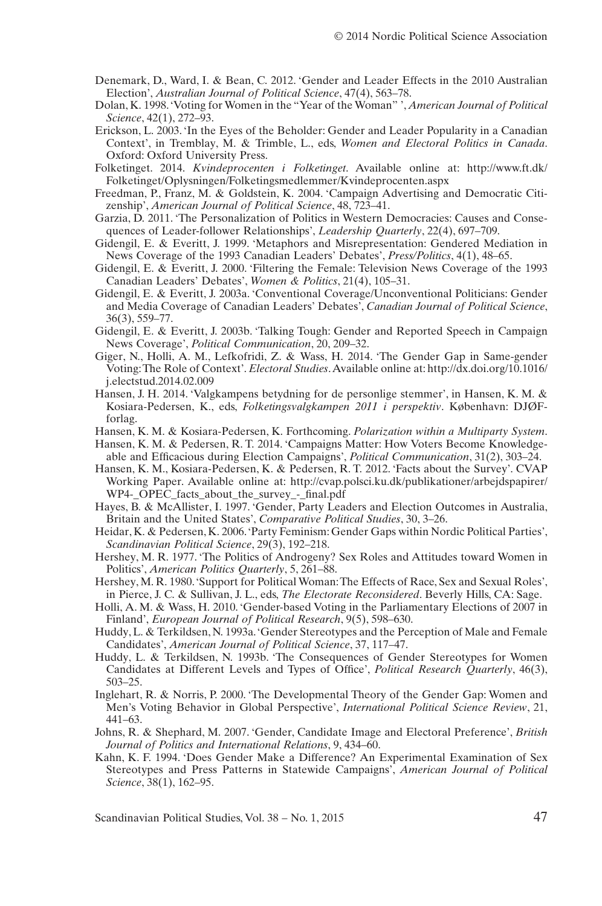- Denemark, D., Ward, I. & Bean, C. 2012. 'Gender and Leader Effects in the 2010 Australian Election', *Australian Journal of Political Science*, 47(4), 563–78.
- Dolan, K. 1998.'Voting for Women in the "Year of the Woman" ', *American Journal of Political Science*, 42(1), 272–93.
- Erickson, L. 2003. 'In the Eyes of the Beholder: Gender and Leader Popularity in a Canadian Context', in Tremblay, M. & Trimble, L., eds, *Women and Electoral Politics in Canada*. Oxford: Oxford University Press.
- Folketinget. 2014. *Kvindeprocenten i Folketinget*. Available online at: [http://www.ft.dk/](http://www.ft.dk/Folketinget/Oplysningen/Folketingsmedlemmer/Kvindeprocenten.aspx) [Folketinget/Oplysningen/Folketingsmedlemmer/Kvindeprocenten.aspx](http://www.ft.dk/Folketinget/Oplysningen/Folketingsmedlemmer/Kvindeprocenten.aspx)
- Freedman, P., Franz, M. & Goldstein, K. 2004. 'Campaign Advertising and Democratic Citizenship', *American Journal of Political Science*, 48, 723–41.
- Garzia, D. 2011. 'The Personalization of Politics in Western Democracies: Causes and Consequences of Leader-follower Relationships', *Leadership Quarterly*, 22(4), 697–709.
- Gidengil, E. & Everitt, J. 1999. 'Metaphors and Misrepresentation: Gendered Mediation in News Coverage of the 1993 Canadian Leaders' Debates', *Press/Politics*, 4(1), 48–65.
- Gidengil, E. & Everitt, J. 2000. 'Filtering the Female: Television News Coverage of the 1993 Canadian Leaders' Debates', *Women & Politics*, 21(4), 105–31.
- Gidengil, E. & Everitt, J. 2003a. 'Conventional Coverage/Unconventional Politicians: Gender and Media Coverage of Canadian Leaders' Debates', *Canadian Journal of Political Science*, 36(3), 559–77.
- Gidengil, E. & Everitt, J. 2003b. 'Talking Tough: Gender and Reported Speech in Campaign News Coverage', *Political Communication*, 20, 209–32.
- Giger, N., Holli, A. M., Lefkofridi, Z. & Wass, H. 2014. 'The Gender Gap in Same-gender Voting:The Role of Context'. *Electoral Studies*.Available online at: [http://dx.doi.org/10.1016/](http://dx.doi.org/10.1016/j.electstud.2014.02.009) [j.electstud.2014.02.009](http://dx.doi.org/10.1016/j.electstud.2014.02.009)
- Hansen, J. H. 2014. 'Valgkampens betydning for de personlige stemmer', in Hansen, K. M. & Kosiara-Pedersen, K., eds, *Folketingsvalgkampen 2011 i perspektiv*. København: DJØFforlag.
- Hansen, K. M. & Kosiara-Pedersen, K. Forthcoming. *Polarization within a Multiparty System*.
- Hansen, K. M. & Pedersen, R. T. 2014. 'Campaigns Matter: How Voters Become Knowledgeable and Efficacious during Election Campaigns', *Political Communication*, 31(2), 303–24.
- Hansen, K. M., Kosiara-Pedersen, K. & Pedersen, R. T. 2012. 'Facts about the Survey'. CVAP Working Paper. Available online at: [http://cvap.polsci.ku.dk/publikationer/arbejdspapirer/](http://cvap.polsci.ku.dk/publikationer/arbejdspapirer/WP4-_OPEC_facts_about_the_survey_-_final.pdf) [WP4-\\_OPEC\\_facts\\_about\\_the\\_survey\\_-\\_final.pdf](http://cvap.polsci.ku.dk/publikationer/arbejdspapirer/WP4-_OPEC_facts_about_the_survey_-_final.pdf)
- Hayes, B. & McAllister, I. 1997. 'Gender, Party Leaders and Election Outcomes in Australia, Britain and the United States', *Comparative Political Studies*, 30, 3–26.
- Heidar, K. & Pedersen, K. 2006.'Party Feminism: Gender Gaps within Nordic Political Parties', *Scandinavian Political Science*, 29(3), 192–218.
- Hershey, M. R. 1977. 'The Politics of Androgeny? Sex Roles and Attitudes toward Women in Politics', *American Politics Quarterly*, 5, 261–88.
- Hershey, M. R. 1980.'Support for Political Woman:The Effects of Race, Sex and Sexual Roles', in Pierce, J. C. & Sullivan, J. L., eds, *The Electorate Reconsidered*. Beverly Hills, CA: Sage.
- Holli, A. M. & Wass, H. 2010. 'Gender-based Voting in the Parliamentary Elections of 2007 in Finland', *European Journal of Political Research*, 9(5), 598–630.
- Huddy, L. & Terkildsen, N. 1993a.'Gender Stereotypes and the Perception of Male and Female Candidates', *American Journal of Political Science*, 37, 117–47.
- Huddy, L. & Terkildsen, N. 1993b. 'The Consequences of Gender Stereotypes for Women Candidates at Different Levels and Types of Office', *Political Research Quarterly*, 46(3), 503–25.
- Inglehart, R. & Norris, P. 2000. 'The Developmental Theory of the Gender Gap: Women and Men's Voting Behavior in Global Perspective', *International Political Science Review*, 21, 441–63.
- Johns, R. & Shephard, M. 2007. 'Gender, Candidate Image and Electoral Preference', *British Journal of Politics and International Relations*, 9, 434–60.
- Kahn, K. F. 1994. 'Does Gender Make a Difference? An Experimental Examination of Sex Stereotypes and Press Patterns in Statewide Campaigns', *American Journal of Political Science*, 38(1), 162–95.